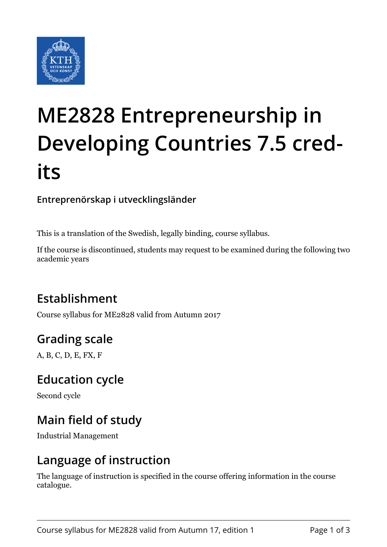

# **ME2828 Entrepreneurship in Developing Countries 7.5 credits**

#### **Entreprenörskap i utvecklingsländer**

This is a translation of the Swedish, legally binding, course syllabus.

If the course is discontinued, students may request to be examined during the following two academic years

## **Establishment**

Course syllabus for ME2828 valid from Autumn 2017

## **Grading scale**

A, B, C, D, E, FX, F

#### **Education cycle**

Second cycle

## **Main field of study**

Industrial Management

#### **Language of instruction**

The language of instruction is specified in the course offering information in the course catalogue.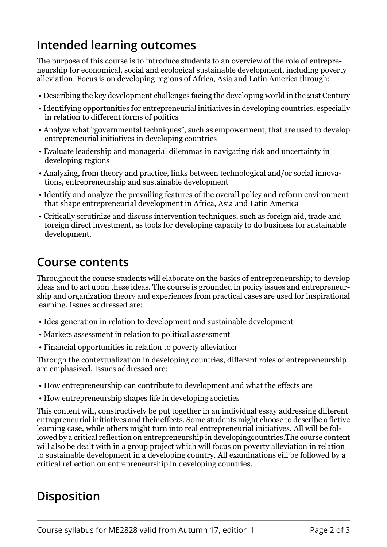## **Intended learning outcomes**

The purpose of this course is to introduce students to an overview of the role of entrepreneurship for economical, social and ecological sustainable development, including poverty alleviation. Focus is on developing regions of Africa, Asia and Latin America through:

- Describing the key development challenges facing the developing world in the 21st Century
- Identifying opportunities for entrepreneurial initiatives in developing countries, especially in relation to different forms of politics
- Analyze what "governmental techniques", such as empowerment, that are used to develop entrepreneurial initiatives in developing countries
- Evaluate leadership and managerial dilemmas in navigating risk and uncertainty in developing regions
- Analyzing, from theory and practice, links between technological and/or social innovations, entrepreneurship and sustainable development
- Identify and analyze the prevailing features of the overall policy and reform environment that shape entrepreneurial development in Africa, Asia and Latin America
- Critically scrutinize and discuss intervention techniques, such as foreign aid, trade and foreign direct investment, as tools for developing capacity to do business for sustainable development.

#### **Course contents**

Throughout the course students will elaborate on the basics of entrepreneurship; to develop ideas and to act upon these ideas. The course is grounded in policy issues and entrepreneurship and organization theory and experiences from practical cases are used for inspirational learning. Issues addressed are:

- Idea generation in relation to development and sustainable development
- Markets assessment in relation to political assessment
- Financial opportunities in relation to poverty alleviation

Through the contextualization in developing countries, different roles of entrepreneurship are emphasized. Issues addressed are:

- How entrepreneurship can contribute to development and what the effects are
- How entrepreneurship shapes life in developing societies

This content will, constructively be put together in an individual essay addressing different entrepreneurial initiatives and their effects. Some students might choose to describe a fictive learning case, while others might turn into real entrepreneurial initiatives. All will be followed by a critical reflection on entrepreneurship in developingcountries.The course content will also be dealt with in a group project which will focus on poverty alleviation in relation to sustainable development in a developing country. All examinations eill be followed by a critical reflection on entrepreneurship in developing countries.

#### **Disposition**